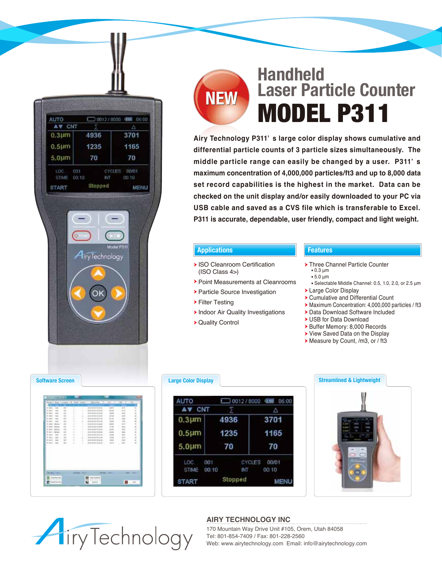

# **NEW**

# **Handheld Laser Particle Counter** MODEL P311

**Airy Technology P311' s large color display shows cumulative and differential particle counts of 3 particle sizes simultaneously. The middle particle range can easily be changed by a user. P311' s maximum concentration of 4,000,000 particles/ft3 and up to 8,000 data set record capabilities is the highest in the market. Data can be checked on the unit display and/or easily downloaded to your PC via USB cable and saved as a CVS file which is transferable to Excel. P311 is accurate, dependable, user friendly, compact and light weight.** 

### **Applications Features**

- **> ISO Cleanroom Certification** (ISO Class 4>)
- Point Measurements at Cleanrooms
- Particle Source Investigation
- Filter Testing
- **Indoor Air Quality Investigations**
- Quality Control

- ▶ Three Channel Particle Counter 0.3 μm 5.0 μm
	-
- Selectable Middle Channel: 0.5, 1.0, 2.0, or 2.5 μm
- Large Color Display
- Cumulative and Differential Count
- Maximum Concentration: 4,000,000 particles / ft3
- Data Download Software Included
- USB for Data Download
- ▶ Buffer Memory: 8,000 Records
- ▶ View Saved Data on the Display
- Measure by Count, /m3, or / ft3



| AUTO             |         |               | 10012/8000 000 05:00 |
|------------------|---------|---------------|----------------------|
| AV CNT           |         |               | Δ                    |
| $0.3 \mu m$      | 4936    |               | 3701                 |
| 0.5 <sub>µ</sub> | 1235    |               | 1165                 |
| $5.0 \mu m$      | 70      |               | 70                   |
| LOC.             | 001     | <b>CYCLES</b> | 00/01                |
| <b>STIME</b>     | 00:18   | <b>INT</b>    | 00.10                |
| <b>START</b>     | Stopped |               | MENU                 |



## **AIRY TECHNOLOGY INC Airy Technology**

170 Mountain Way Drive Unit #105, Orem, Utah 84058 Tel: 801-854-7409 / Fax: 801-228-2560 Web: www.airytechnology.com Email: info@airytechnology.com